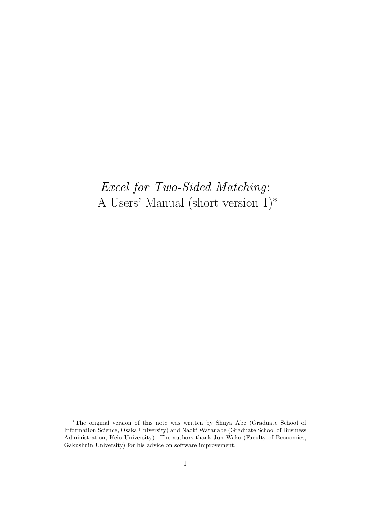# *Excel for Two-Sided Matching*: A Users' Manual (short version 1)*<sup>∗</sup>*

*<sup>∗</sup>*The original version of this note was written by Shuya Abe (Graduate School of Information Science, Osaka University) and Naoki Watanabe (Graduate School of Business Administration, Keio University). The authors thank Jun Wako (Faculty of Economics, Gakushuin University) for his advice on software improvement.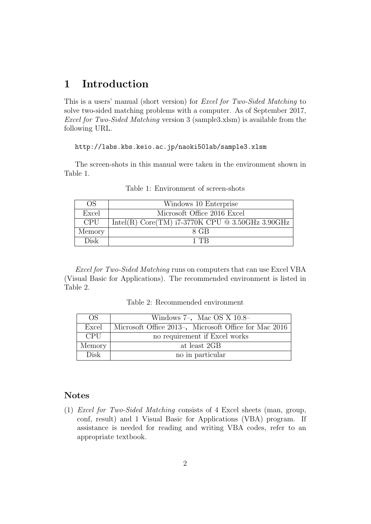# **1 Introduction**

This is a users' manual (short version) for *Excel for Two-Sided Matching* to solve two-sided matching problems with a computer. As of September 2017, *Excel for Two-Sided Matching* version 3 (sample3.xlsm) is available from the following URL.

#### http://labs.kbs.keio.ac.jp/naoki50lab/sample3.xlsm

The screen-shots in this manual were taken in the environment shown in Table 1.

| <b>OS</b>  | Windows 10 Enterprise                              |
|------------|----------------------------------------------------|
| Excel      | Microsoft Office 2016 Excel                        |
| <b>CPU</b> | Intel(R) Core(TM) $i7-3770K$ CPU @ 3.50GHz 3.90GHz |
| Memory     | 8 GB                                               |
| Disk       | 1 TR                                               |

Table 1: Environment of screen-shots

*Excel for Two-Sided Matching* runs on computers that can use Excel VBA (Visual Basic for Applications). The recommended environment is listed in Table 2.

Table 2: Recommended environment

| OS         | Windows $7-$ , Mac OS X $10.8-$                       |
|------------|-------------------------------------------------------|
| Excel      | Microsoft Office 2013-, Microsoft Office for Mac 2016 |
| <b>CPU</b> | no requirement if Excel works                         |
| Memory     | at least 2GB                                          |
| Disk       | no in particular                                      |

# **Notes**

(1) *Excel for Two-Sided Matching* consists of 4 Excel sheets (man, group, conf, result) and 1 Visual Basic for Applications (VBA) program. If assistance is needed for reading and writing VBA codes, refer to an appropriate textbook.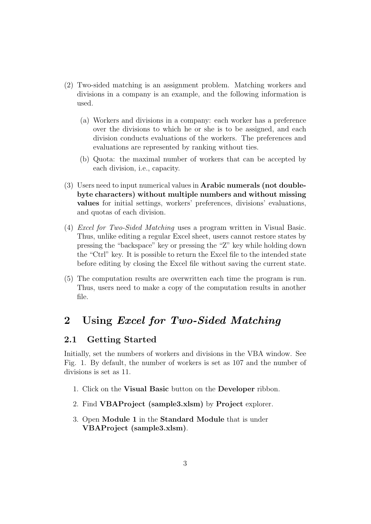- (2) Two-sided matching is an assignment problem. Matching workers and divisions in a company is an example, and the following information is used.
	- (a) Workers and divisions in a company: each worker has a preference over the divisions to which he or she is to be assigned, and each division conducts evaluations of the workers. The preferences and evaluations are represented by ranking without ties.
	- (b) Quota: the maximal number of workers that can be accepted by each division, i.e., capacity.
- (3) Users need to input numerical values in **Arabic numerals (not doublebyte characters) without multiple numbers and without missing values** for initial settings, workers' preferences, divisions' evaluations, and quotas of each division.
- (4) *Excel for Two-Sided Matching* uses a program written in Visual Basic. Thus, unlike editing a regular Excel sheet, users cannot restore states by pressing the "backspace" key or pressing the "Z" key while holding down the "Ctrl" key. It is possible to return the Excel file to the intended state before editing by closing the Excel file without saving the current state.
- (5) The computation results are overwritten each time the program is run. Thus, users need to make a copy of the computation results in another file.

# **2 Using** *Excel for Two-Sided Matching*

# **2.1 Getting Started**

Initially, set the numbers of workers and divisions in the VBA window. See Fig. 1. By default, the number of workers is set as 107 and the number of divisions is set as 11.

- 1. Click on the **Visual Basic** button on the **Developer** ribbon.
- 2. Find **VBAProject (sample3.xlsm)** by **Project** explorer.
- 3. Open **Module 1** in the **Standard Module** that is under **VBAProject (sample3.xlsm)**.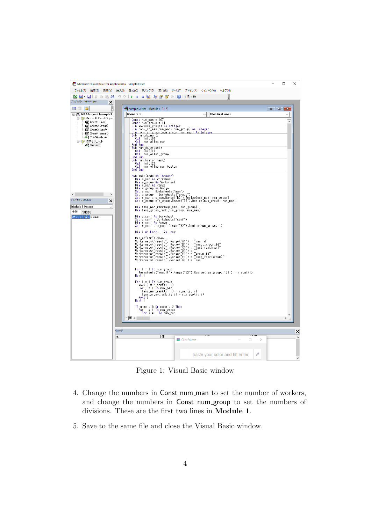

Figure 1: Visual Basic window

- 4. Change the numbers in Const num man to set the number of workers, and change the numbers in Const num group to set the numbers of divisions. These are the first two lines in **Module 1**.
- 5. Save to the same file and close the Visual Basic window.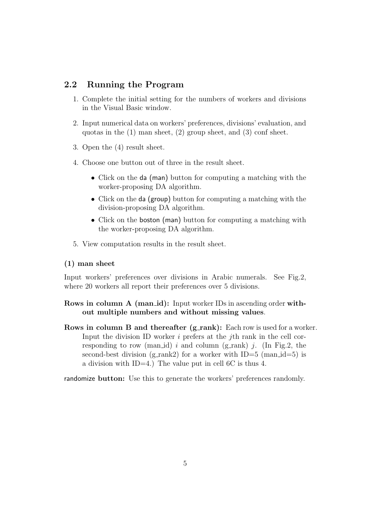# **2.2 Running the Program**

- 1. Complete the initial setting for the numbers of workers and divisions in the Visual Basic window.
- 2. Input numerical data on workers' preferences, divisions' evaluation, and quotas in the (1) man sheet, (2) group sheet, and (3) conf sheet.
- 3. Open the (4) result sheet.
- 4. Choose one button out of three in the result sheet.
	- *•* Click on the da (man) button for computing a matching with the worker-proposing DA algorithm.
	- *•* Click on the da (group) button for computing a matching with the division-proposing DA algorithm.
	- Click on the boston (man) button for computing a matching with the worker-proposing DA algorithm.
- 5. View computation results in the result sheet.

#### **(1) man sheet**

Input workers' preferences over divisions in Arabic numerals. See Fig.2, where 20 workers all report their preferences over 5 divisions.

# **Rows in column A (man\_id):** Input worker IDs in ascending order with**out multiple numbers and without missing values**.

**Rows in column B and thereafter (g\_rank):** Each row is used for a worker. Input the division ID worker *i* prefers at the *j*th rank in the cell corresponding to row (man\_id)  $i$  and column (g\_rank)  $j$ . (In Fig.2, the second-best division (g\_rank2) for a worker with  $ID=5$  (man\_id=5) is a division with ID=4.) The value put in cell 6C is thus 4.

randomize **button:** Use this to generate the workers' preferences randomly.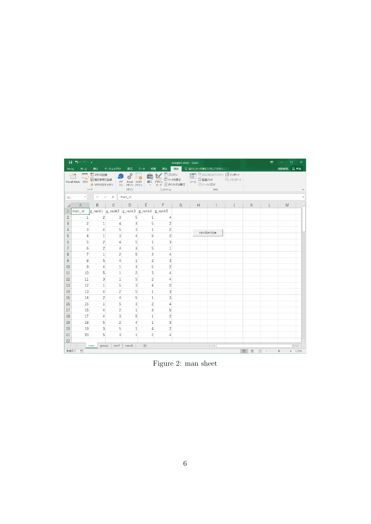|                | $B$ break                                      |                                     |                          |                                                  |                                         |                     | sample3.xlsm - Excel |                         |                          |         |               | 囨                    |           | $\Box$<br>×           |
|----------------|------------------------------------------------|-------------------------------------|--------------------------|--------------------------------------------------|-----------------------------------------|---------------------|----------------------|-------------------------|--------------------------|---------|---------------|----------------------|-----------|-----------------------|
| ファイル           |                                                |                                     | ホーム 挿入 ページレイアウト 数式 データ   |                                                  | 校閲                                      | 表示                  |                      | ■開発 Q 実行したい作業を入力してください  |                          |         |               |                      | 阿部修也 2 共有 |                       |
|                | $\frac{28}{2}$<br>Visual Basic マクロ             | ■マクロの記録<br>西相対参照で記録<br>→ マクロのセキュリティ |                          | <b>기준</b><br>기자 Excel COM<br>- <i>신 카</i> イン 카イン |                                         |                     |                      | 画対応付けのプロパティ コンポート       |                          | 風エクスポート |               |                      |           |                       |
|                |                                                |                                     | コード・シー・シー・シー・シー          | アドイン                                             |                                         | コントロール              |                      | <b>Example 2018</b> MML |                          |         |               |                      |           |                       |
| A1             | $\mathbf{v} = \mathbf{f}$ .                    |                                     | $\times$ $\checkmark$ fx | man_id                                           |                                         |                     |                      |                         |                          |         |               |                      |           |                       |
|                | A                                              | B                                   | $\mathbf{C}$             | D.                                               | E.                                      | $-$ F $-$           | G                    | H                       | $\mathbf{L}$             | J.      | K             | L.                   | M         |                       |
|                | Iman id                                        |                                     |                          |                                                  | g_rank1 g_rank2 g_rank3 g_rank4 g_rank5 |                     |                      |                         |                          |         |               |                      |           |                       |
| $\overline{2}$ | $\mathbf{1}$                                   | $\overline{2}$                      | 3                        | 5                                                | $\mathbf{1}$                            | 4                   |                      |                         |                          |         |               |                      |           |                       |
| 3              | $\overline{2}$                                 | $\mathbf{1}$                        | 4                        | 3                                                | 5                                       | $\overline{2}$      |                      |                         |                          |         |               |                      |           |                       |
| 4              | 3                                              | 4                                   | 5                        | 3                                                | $\mathbf{1}$                            | $\overline{2}$      |                      |                         | randomize                |         |               |                      |           |                       |
| 5              | 4                                              | $\mathbf{1}$                        | 3                        | 4                                                | 5                                       | $\overline{2}$      |                      |                         |                          |         |               |                      |           |                       |
| 6              | 5                                              | $\overline{2}$                      | 4                        | 5                                                | $\mathbf{1}$                            | 3                   |                      |                         |                          |         |               |                      |           |                       |
| $\overline{7}$ | 6                                              | $\overline{c}$                      | 4                        | 3                                                | 5                                       | 1                   |                      |                         |                          |         |               |                      |           |                       |
| 8              | $\overline{7}$                                 | $\mathbf{1}$                        | $\overline{2}$           | 5                                                | 3                                       | 4                   |                      |                         |                          |         |               |                      |           |                       |
| 9              | 8                                              | 5                                   | 4                        | $\mathbf{1}$                                     | $\overline{c}$                          | 3                   |                      |                         |                          |         |               |                      |           |                       |
| 10             | 9                                              | 4                                   | 1                        | 3                                                | 5                                       | 2                   |                      |                         |                          |         |               |                      |           |                       |
| 11             | 10                                             | 5                                   | $\mathbf{1}$             | $\overline{c}$                                   | 3                                       | 4                   |                      |                         |                          |         |               |                      |           |                       |
| 12             | 11                                             | 3                                   | $\overline{1}$           | 5                                                | $\overline{2}$                          | Δ                   |                      |                         |                          |         |               |                      |           |                       |
| 13             | 12                                             | $\mathbf{1}$                        | 5                        | 3                                                | 4                                       | $\overline{2}$      |                      |                         |                          |         |               |                      |           |                       |
| 14             | 13                                             | 4                                   | $\overline{2}$           | 5                                                | $\mathbf{1}$                            | 3                   |                      |                         |                          |         |               |                      |           |                       |
| 15             | 14                                             | 2                                   | 4                        | 5                                                | 1                                       | 3                   |                      |                         |                          |         |               |                      |           |                       |
| 16             | 15                                             | $\mathbf{1}$                        | 5                        | 3                                                | $\overline{c}$                          | 4                   |                      |                         |                          |         |               |                      |           |                       |
| 17<br>18       | 16<br>17                                       | 4<br>4                              | $\overline{c}$<br>3      | $\mathbf{1}$<br>5                                | 3<br>$\mathbf{1}$                       | 5<br>$\overline{2}$ |                      |                         |                          |         |               |                      |           |                       |
|                |                                                |                                     |                          |                                                  |                                         |                     |                      |                         |                          |         |               |                      |           |                       |
| 19<br>20       | 18<br>19                                       | 5<br>3                              | $\overline{2}$<br>5      | 4                                                | $\mathbf{1}$<br>4                       | 3<br>$\overline{c}$ |                      |                         |                          |         |               |                      |           |                       |
| 21             | 20                                             | 5                                   | 3                        | 1<br>$\mathbf{1}$                                | $\overline{2}$                          | 4                   |                      |                         |                          |         |               |                      |           |                       |
| 22             |                                                |                                     |                          |                                                  |                                         |                     |                      |                         |                          |         |               |                      |           |                       |
|                | $\rightarrow$ 4 $\rightarrow$ 10 $\rightarrow$ | group<br>man                        | conf                     | result                                           | $\bigoplus$                             |                     |                      |                         | $\mathbb{E}[\mathbf{X}]$ |         |               |                      |           | $\blacktriangleright$ |
| 準備完了           | 韻                                              |                                     |                          |                                                  |                                         |                     |                      |                         |                          |         | 冊<br><b>I</b> | $\Box$<br>$\sim$ $-$ |           | $+ 115%$              |

Figure 2: man sheet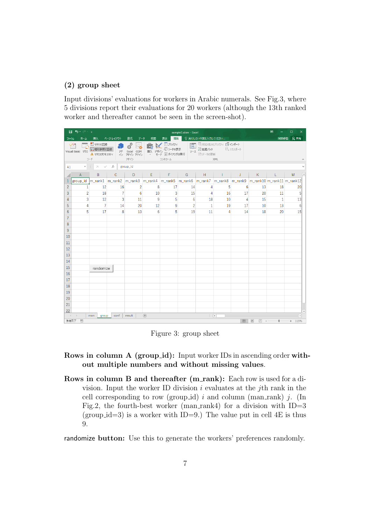#### **(2) group sheet**

Input divisions' evaluations for workers in Arabic numerals. See Fig.3, where 5 divisions report their evaluations for 20 workers (although the 13th ranked worker and thereafter cannot be seen in the screen-shot).

|                | 日 ち・さ・す                                                                                                                      |                                               |                |                                         |                   |                                                         | sample3.xlsm - Excel |                                              |                |         |                                    | 囨            | $\Box$<br>×                                                                                                           |  |
|----------------|------------------------------------------------------------------------------------------------------------------------------|-----------------------------------------------|----------------|-----------------------------------------|-------------------|---------------------------------------------------------|----------------------|----------------------------------------------|----------------|---------|------------------------------------|--------------|-----------------------------------------------------------------------------------------------------------------------|--|
| ファイル           | ホーム                                                                                                                          | 挿入                                            | ページレイアウト       | 数式<br>データ                               | 校開                | 開発  <br>表示                                              |                      | ♀ 実行したい作業を入力してください                           |                |         |                                    |              | 阿部修也 Q 共有                                                                                                             |  |
|                | OQ.<br>Visual Basic マクロ                                                                                                      | ■マクロの記録<br>「日相対参照で記録<br>▲ マクロのセキュリティ<br>$J-F$ | アド             | ą,<br>Excel COM<br>イン アドイン アドイン<br>アドイン | $-\pi$<br>挿入 デザイン | <b>VE</b> JUIGY<br>□コードの表示<br>· モード コタイアログの実行<br>コントロール |                      | 日 輸対応付けのプロパティ コンポート<br>ソース 自拡張パック<br>回データの更新 | XML            | 風エクスポート |                                    |              |                                                                                                                       |  |
| A1             | $\times$ $\hspace{0.1cm}$ $\hspace{0.1cm}\hspace{0.1cm}\mathit{f}_{x}$<br>group_id<br>$\mathbf{v}$ . The set of $\mathbf{v}$ |                                               |                |                                         |                   |                                                         |                      |                                              |                |         |                                    |              |                                                                                                                       |  |
|                | $\mathsf{A}$                                                                                                                 | B                                             | C              | D                                       | E.                | F                                                       | G                    | H.                                           | т.             | J       | K                                  | L            | M                                                                                                                     |  |
| $\mathbf{1}$   |                                                                                                                              |                                               |                |                                         |                   |                                                         |                      |                                              |                |         |                                    |              | group_id  m_rank1  m_rank2  m_rank3  m_rank4  m_rank5  m_rank6  m_rank7  m_rank8  m_rank9  m_rank10 m_rank11 m_rank12 |  |
| $\overline{2}$ | $\mathbf{1}$                                                                                                                 | 12                                            | 16             | $\overline{2}$                          | 8                 | 17                                                      | 14                   | 4                                            | 5              | 6       | 13                                 | 18           | 20                                                                                                                    |  |
| $\overline{3}$ | $\overline{c}$                                                                                                               | 18                                            | $\overline{7}$ | 6                                       | 10                | 3                                                       | 15                   | 4                                            | 16             | 17      | 20                                 | 11           | 5                                                                                                                     |  |
| 4              | 3                                                                                                                            | 12                                            | 3              | 11                                      | 9                 | 5                                                       | 6                    | 18                                           | 10             | 4       | 15                                 | $\mathbf{1}$ | 13                                                                                                                    |  |
| 5              | 4                                                                                                                            | $\overline{7}$                                | 14             | 20                                      | 12                | 9                                                       | $\overline{2}$       | 1                                            | 19             | 17      | 10                                 | 13           | 6                                                                                                                     |  |
| 6              | 5                                                                                                                            | 17                                            | 8              | 13                                      | 6                 | 5                                                       | 19                   | 11                                           | $\overline{a}$ | 14      | 18                                 | 20           | 15                                                                                                                    |  |
| $\overline{7}$ |                                                                                                                              |                                               |                |                                         |                   |                                                         |                      |                                              |                |         |                                    |              |                                                                                                                       |  |
| 8              |                                                                                                                              |                                               |                |                                         |                   |                                                         |                      |                                              |                |         |                                    |              |                                                                                                                       |  |
| 9              |                                                                                                                              |                                               |                |                                         |                   |                                                         |                      |                                              |                |         |                                    |              |                                                                                                                       |  |
| 10             |                                                                                                                              |                                               |                |                                         |                   |                                                         |                      |                                              |                |         |                                    |              |                                                                                                                       |  |
| 11             |                                                                                                                              |                                               |                |                                         |                   |                                                         |                      |                                              |                |         |                                    |              |                                                                                                                       |  |
| 12             |                                                                                                                              |                                               |                |                                         |                   |                                                         |                      |                                              |                |         |                                    |              |                                                                                                                       |  |
| 13<br>14       |                                                                                                                              |                                               |                |                                         |                   |                                                         |                      |                                              |                |         |                                    |              |                                                                                                                       |  |
| 15             |                                                                                                                              |                                               |                |                                         |                   |                                                         |                      |                                              |                |         |                                    |              |                                                                                                                       |  |
| 16             |                                                                                                                              | randomize                                     |                |                                         |                   |                                                         |                      |                                              |                |         |                                    |              |                                                                                                                       |  |
| 17             |                                                                                                                              |                                               |                |                                         |                   |                                                         |                      |                                              |                |         |                                    |              |                                                                                                                       |  |
| 18             |                                                                                                                              |                                               |                |                                         |                   |                                                         |                      |                                              |                |         |                                    |              |                                                                                                                       |  |
| 19             |                                                                                                                              |                                               |                |                                         |                   |                                                         |                      |                                              |                |         |                                    |              |                                                                                                                       |  |
| 20             |                                                                                                                              |                                               |                |                                         |                   |                                                         |                      |                                              |                |         |                                    |              |                                                                                                                       |  |
| 21             |                                                                                                                              |                                               |                |                                         |                   |                                                         |                      |                                              |                |         |                                    |              |                                                                                                                       |  |
| 22             |                                                                                                                              |                                               |                |                                         |                   |                                                         |                      |                                              |                |         |                                    |              |                                                                                                                       |  |
|                | $-4$ $+$                                                                                                                     | man<br>group                                  | conf           | result                                  | $\bigoplus$       |                                                         |                      | $\vdash \boxed{4}$                           |                |         |                                    |              | $\blacktriangleright$                                                                                                 |  |
| 準備完了           | 間                                                                                                                            |                                               |                |                                         |                   |                                                         |                      |                                              |                | 囲       | ▣<br>凹<br>$\overline{\phantom{a}}$ |              | $+ 115%$                                                                                                              |  |

Figure 3: group sheet

### **Rows in column A (group\_id):** Input worker IDs in ascending order with**out multiple numbers and without missing values**.

**Rows in column B and thereafter (m\_rank):** Each row is used for a division. Input the worker ID division *i* evaluates at the *j*th rank in the cell corresponding to row (group id)  $i$  and column (man rank)  $j$ . (In Fig.2, the fourth-best worker (man\_rank4) for a division with  $ID=3$ (group  $id=3$ ) is a worker with ID=9.) The value put in cell 4E is thus 9.

randomize **button:** Use this to generate the workers' preferences randomly.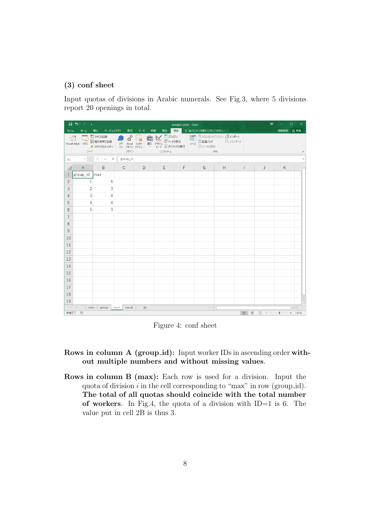### **(3) conf sheet**

Input quotas of divisions in Arabic numerals. See Fig.3, where 5 divisions report 20 openings in total.

|                                  | $B$ break        |                                                         |                                                                |             |                                                                                                                                                                                                                                                                                                                                                                                                                                                               | sample3.xlsm - Excel  |                          |         |              | 囨    | $\Box$    | $\times$                 |
|----------------------------------|------------------|---------------------------------------------------------|----------------------------------------------------------------|-------------|---------------------------------------------------------------------------------------------------------------------------------------------------------------------------------------------------------------------------------------------------------------------------------------------------------------------------------------------------------------------------------------------------------------------------------------------------------------|-----------------------|--------------------------|---------|--------------|------|-----------|--------------------------|
|                                  |                  | ファイル ホーム 挿入 ページレイアウト 数式                                 |                                                                | データ 校閲      | 表示                                                                                                                                                                                                                                                                                                                                                                                                                                                            | ■開発 Q実行したい作業を入力してください |                          |         |              |      | 阿部修也 2 共有 |                          |
| $\frac{8}{2}$                    | Visual Basic マクロ | 図相対参照で記録<br>イントリー イント マクロのセキュリティ<br>$\Box - \mathbb{F}$ | <b>기준</b><br>기타 Excel COM<br>- 수 개 <i>수</i> 개 <i>수</i><br>アドイン |             | $\begin{array}{c c} & \multicolumn{3}{c }{\textbf{1}} & \multicolumn{3}{c }{\textbf{2}} & \multicolumn{3}{c }{\textbf{3}} & \multicolumn{3}{c }{\textbf{4}} & \multicolumn{3}{c }{\textbf{5}} & \multicolumn{3}{c }{\textbf{6}} & \multicolumn{3}{c }{\textbf{7}} & \multicolumn{3}{c }{\textbf{8}} & \multicolumn{3}{c }{\textbf{9}} & \multicolumn{3}{c }{\textbf{1}} & \multicolumn{3}{c }{\textbf{1}} & \multicolumn{3}{c }{\textbf{1}} & \multicolumn{3$ |                       | <b>Example 2018 SML</b>  | 風エクスポート |              |      |           |                          |
| A1                               |                  | $\star$ $\mid$ $\times$ $\checkmark$ $f_{x}$            | group_id                                                       |             |                                                                                                                                                                                                                                                                                                                                                                                                                                                               |                       |                          |         |              |      |           |                          |
|                                  | $\overline{A}$   | B                                                       | $\mathsf{C}$                                                   | D           | Ε                                                                                                                                                                                                                                                                                                                                                                                                                                                             | F                     | G                        | H       | $\mathbf{I}$ | J    | K         | $\overline{\phantom{a}}$ |
|                                  | 1 group_id   max |                                                         |                                                                |             |                                                                                                                                                                                                                                                                                                                                                                                                                                                               |                       |                          |         |              |      |           |                          |
| 2                                | $\mathbf{1}$     | 6                                                       |                                                                |             |                                                                                                                                                                                                                                                                                                                                                                                                                                                               |                       |                          |         |              |      |           |                          |
| 3                                | $\overline{c}$   | 3                                                       |                                                                |             |                                                                                                                                                                                                                                                                                                                                                                                                                                                               |                       |                          |         |              |      |           |                          |
| 4                                | 3                | 4                                                       |                                                                |             |                                                                                                                                                                                                                                                                                                                                                                                                                                                               |                       |                          |         |              |      |           |                          |
| 5                                | 4                | 4                                                       |                                                                |             |                                                                                                                                                                                                                                                                                                                                                                                                                                                               |                       |                          |         |              |      |           |                          |
| 6                                | 5                | 3                                                       |                                                                |             |                                                                                                                                                                                                                                                                                                                                                                                                                                                               |                       |                          |         |              |      |           |                          |
| $\overline{7}$                   |                  |                                                         |                                                                |             |                                                                                                                                                                                                                                                                                                                                                                                                                                                               |                       |                          |         |              |      |           |                          |
| 8                                |                  |                                                         |                                                                |             |                                                                                                                                                                                                                                                                                                                                                                                                                                                               |                       |                          |         |              |      |           |                          |
| 9                                |                  |                                                         |                                                                |             |                                                                                                                                                                                                                                                                                                                                                                                                                                                               |                       |                          |         |              |      |           |                          |
| 10                               |                  |                                                         |                                                                |             |                                                                                                                                                                                                                                                                                                                                                                                                                                                               |                       |                          |         |              |      |           |                          |
| 11<br>12                         |                  |                                                         |                                                                |             |                                                                                                                                                                                                                                                                                                                                                                                                                                                               |                       |                          |         |              |      |           |                          |
| 13                               |                  |                                                         |                                                                |             |                                                                                                                                                                                                                                                                                                                                                                                                                                                               |                       |                          |         |              |      |           |                          |
| 14                               |                  |                                                         |                                                                |             |                                                                                                                                                                                                                                                                                                                                                                                                                                                               |                       |                          |         |              |      |           |                          |
| 15                               |                  |                                                         |                                                                |             |                                                                                                                                                                                                                                                                                                                                                                                                                                                               |                       |                          |         |              |      |           |                          |
| 16                               |                  |                                                         |                                                                |             |                                                                                                                                                                                                                                                                                                                                                                                                                                                               |                       |                          |         |              |      |           |                          |
| 17                               |                  |                                                         |                                                                |             |                                                                                                                                                                                                                                                                                                                                                                                                                                                               |                       |                          |         |              |      |           |                          |
| 18                               |                  |                                                         |                                                                |             |                                                                                                                                                                                                                                                                                                                                                                                                                                                               |                       |                          |         |              |      |           |                          |
| 19                               |                  |                                                         |                                                                |             |                                                                                                                                                                                                                                                                                                                                                                                                                                                               |                       |                          |         |              |      |           |                          |
| $\rightarrow$ 4 $\rightarrow$ 10 | man              | group                                                   | result<br>conf                                                 | $\bigoplus$ |                                                                                                                                                                                                                                                                                                                                                                                                                                                               |                       | $\mathbb{E}[\mathbb{R}]$ |         |              |      |           | $\overline{\phantom{a}}$ |
| 準備完了                             | 間                |                                                         |                                                                |             |                                                                                                                                                                                                                                                                                                                                                                                                                                                               |                       |                          |         | 田回           | 凹 -- | ÷         | $+ 130%$                 |

Figure 4: conf sheet

- **Rows in column A (group\_id):** Input worker IDs in ascending order with**out multiple numbers and without missing values**.
- **Rows in column B (max):** Each row is used for a division. Input the quota of division *i* in the cell corresponding to "max" in row (group id). **The total of all quotas should coincide with the total number of workers**. In Fig.4, the quota of a division with ID=1 is 6. The value put in cell 2B is thus 3.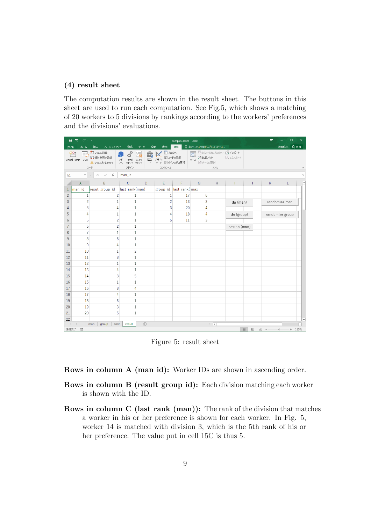#### **(4) result sheet**

The computation results are shown in the result sheet. The buttons in this sheet are used to run each computation. See Fig.5, which shows a matching of 20 workers to 5 divisions by rankings according to the workers' preferences and the divisions' evaluations.

|                | <u> ⊶ پ دن ⊞</u>         |                                                                                                                                                                                                                                                                                                                                                                                                                                                  |                                                                                                                         |                    |                                   | sample3.xlsm - Excel |                                                  |                                      |              | 囨                                                                                                      | п               |                          |
|----------------|--------------------------|--------------------------------------------------------------------------------------------------------------------------------------------------------------------------------------------------------------------------------------------------------------------------------------------------------------------------------------------------------------------------------------------------------------------------------------------------|-------------------------------------------------------------------------------------------------------------------------|--------------------|-----------------------------------|----------------------|--------------------------------------------------|--------------------------------------|--------------|--------------------------------------------------------------------------------------------------------|-----------------|--------------------------|
| ファイル           | ホーム                      | 挿入 ページレイアウト                                                                                                                                                                                                                                                                                                                                                                                                                                      | 数式                                                                                                                      | 校閲<br>データ          | 表示                                | 開発                   | ♀ 実行したい作業を入力してください                               |                                      |              |                                                                                                        | 阿部修也 2 共有       |                          |
|                | Visual Basic マクロ         | ■マクロの記録<br>西相対参照で記録<br>▲ マクロのセキュリティ<br>コード                                                                                                                                                                                                                                                                                                                                                                                                       | $\overline{\Omega}^{\mathbb{Q}}$<br>$\frac{1}{2}$<br>$\overline{\mathcal{V}}$<br>アドイン アドイン<br>$\leftrightarrow$<br>アドイン | $\Box_0$<br>$\psi$ | 挿入デザイン<br>モード コダイアログの実行<br>コントロール | 三 プロパティ<br>○コードの表示   | ■ HAGAHOJDバティ コンポート<br>岩拡張パック<br>ソース<br>☆■データの更新 | XML                                  | 風エクスポート      |                                                                                                        |                 |                          |
| A1             | $\overline{\phantom{a}}$ | $\times$ $\hspace{0.1cm}\raisebox{0.1cm}{\;\raisebox{0.1cm}{\;\raisebox{0.1cm}{\;\raisebox{0.1cm}{\;\raisebox{0.1cm}{\;\raisebox{0.1cm}{\;\raisebox{0.1cm}{\;\raisebox{0.1cm}{\;\raisebox{0.1cm}{\;\raisebox{0.1cm}{\;\raisebox{0.1cm}{\;\raisebox{0.1cm}{\;\raisebox{0.1cm}{\;\raisebox{0.1cm}{\;\raisebox{0.1cm}{\;\raisebox{0.1cm}{\;\raisebox{0.1cm}{\;\raisebox{0.1cm}{\;\raisebox{0.1cm}{\;\raisebox{0.1cm}{\;\raisebox{0.1$<br>$f_x$<br>÷ | man_id                                                                                                                  |                    |                                   |                      |                                                  |                                      |              |                                                                                                        |                 |                          |
|                | $\mathsf{A}$             | B                                                                                                                                                                                                                                                                                                                                                                                                                                                | $\mathbf{C}$                                                                                                            | D                  | E                                 | F.                   | G                                                | H                                    | Т            | K<br>J.                                                                                                | L               | ×                        |
|                | man_id                   | resut_group_id                                                                                                                                                                                                                                                                                                                                                                                                                                   | last_rank(man)                                                                                                          |                    | group_id last_rank(max            |                      |                                                  |                                      |              |                                                                                                        |                 |                          |
| $\overline{2}$ | $\mathbf{1}$             | $\overline{2}$                                                                                                                                                                                                                                                                                                                                                                                                                                   | $\mathbf{1}$                                                                                                            |                    | $\mathbf{1}$                      | 17                   | 6                                                |                                      |              |                                                                                                        |                 |                          |
| 3              | $\overline{c}$           | 1                                                                                                                                                                                                                                                                                                                                                                                                                                                | 1                                                                                                                       |                    | $\overline{c}$                    | 13                   | 3                                                |                                      | da (man)     |                                                                                                        | randomize man   |                          |
| 4              | 3                        | 4                                                                                                                                                                                                                                                                                                                                                                                                                                                | $\mathbf{1}$                                                                                                            |                    | 3                                 | 20                   | Δ                                                |                                      |              |                                                                                                        |                 |                          |
| 5              | 4                        | $\mathbf{1}$                                                                                                                                                                                                                                                                                                                                                                                                                                     | $\overline{1}$                                                                                                          |                    | $\overline{4}$                    | 18                   | Λ                                                |                                      | da (group)   |                                                                                                        | randomize group |                          |
| 6              | 5                        | $\overline{2}$                                                                                                                                                                                                                                                                                                                                                                                                                                   | $\overline{1}$                                                                                                          |                    | 5                                 | 11                   | 3                                                |                                      |              |                                                                                                        |                 |                          |
| $\overline{7}$ | 6                        | $\overline{2}$                                                                                                                                                                                                                                                                                                                                                                                                                                   | $\mathbf{1}$                                                                                                            |                    |                                   |                      |                                                  |                                      | boston (man) |                                                                                                        |                 |                          |
| 8              | 7                        | $\mathbf{1}$                                                                                                                                                                                                                                                                                                                                                                                                                                     | $\overline{1}$                                                                                                          |                    |                                   |                      |                                                  |                                      |              |                                                                                                        |                 |                          |
| 9              | 8                        | 5                                                                                                                                                                                                                                                                                                                                                                                                                                                | $\mathbf{1}$                                                                                                            |                    |                                   |                      |                                                  |                                      |              |                                                                                                        |                 |                          |
| 10             | 9<br>10                  | Δ<br>$\mathbf{1}$                                                                                                                                                                                                                                                                                                                                                                                                                                | $\overline{1}$                                                                                                          |                    |                                   |                      |                                                  |                                      |              |                                                                                                        |                 |                          |
| 11<br>12       | 11                       | 3                                                                                                                                                                                                                                                                                                                                                                                                                                                | $\overline{c}$<br>$\overline{1}$                                                                                        |                    |                                   |                      |                                                  |                                      |              |                                                                                                        |                 |                          |
| 13             | 12                       | 1                                                                                                                                                                                                                                                                                                                                                                                                                                                | $\mathbf{1}$                                                                                                            |                    |                                   |                      |                                                  |                                      |              |                                                                                                        |                 |                          |
| 14             | 13                       | 4                                                                                                                                                                                                                                                                                                                                                                                                                                                | $\mathbf{1}$                                                                                                            |                    |                                   |                      |                                                  |                                      |              |                                                                                                        |                 |                          |
| 15             | 14                       | 3                                                                                                                                                                                                                                                                                                                                                                                                                                                | 5                                                                                                                       |                    |                                   |                      |                                                  |                                      |              |                                                                                                        |                 |                          |
| 16             | 15                       | 1                                                                                                                                                                                                                                                                                                                                                                                                                                                | $\overline{1}$                                                                                                          |                    |                                   |                      |                                                  |                                      |              |                                                                                                        |                 |                          |
| 17             | 16                       | 3                                                                                                                                                                                                                                                                                                                                                                                                                                                | 4                                                                                                                       |                    |                                   |                      |                                                  |                                      |              |                                                                                                        |                 |                          |
| 18             | 17                       | Δ                                                                                                                                                                                                                                                                                                                                                                                                                                                | $\overline{1}$                                                                                                          |                    |                                   |                      |                                                  |                                      |              |                                                                                                        |                 |                          |
| 19             | 18                       | 5                                                                                                                                                                                                                                                                                                                                                                                                                                                | $\mathbf{1}$                                                                                                            |                    |                                   |                      |                                                  |                                      |              |                                                                                                        |                 |                          |
| 20             | 19                       | 3                                                                                                                                                                                                                                                                                                                                                                                                                                                | 1                                                                                                                       |                    |                                   |                      |                                                  |                                      |              |                                                                                                        |                 |                          |
| 21             | 20                       | 5                                                                                                                                                                                                                                                                                                                                                                                                                                                | 1                                                                                                                       |                    |                                   |                      |                                                  |                                      |              |                                                                                                        |                 |                          |
| 22             |                          |                                                                                                                                                                                                                                                                                                                                                                                                                                                  |                                                                                                                         |                    |                                   |                      |                                                  |                                      |              |                                                                                                        |                 |                          |
|                | $-(-)$                   | conf<br>man<br>group                                                                                                                                                                                                                                                                                                                                                                                                                             | result                                                                                                                  | $\bigoplus$        |                                   |                      |                                                  | $\mathbb{E}\left[ \mathbb{E}\right]$ |              |                                                                                                        |                 | $\overline{\phantom{a}}$ |
| 準備完了           | 韻                        |                                                                                                                                                                                                                                                                                                                                                                                                                                                  |                                                                                                                         |                    |                                   |                      |                                                  |                                      | 囲            | $\begin{tabular}{ c c } \hline \quad \quad & \quad \quad & \quad \quad \\ \hline \end{tabular}$<br>凹 - |                 | $+ 115%$                 |

Figure 5: result sheet

**Rows in column A (man\_id):** Worker IDs are shown in ascending order.

- **Rows in column B (result\_group\_id):** Each division matching each worker is shown with the ID.
- **Rows in column C (last\_rank (man)):** The rank of the division that matches a worker in his or her preference is shown for each worker. In Fig. 5, worker 14 is matched with division 3, which is the 5th rank of his or her preference. The value put in cell 15C is thus 5.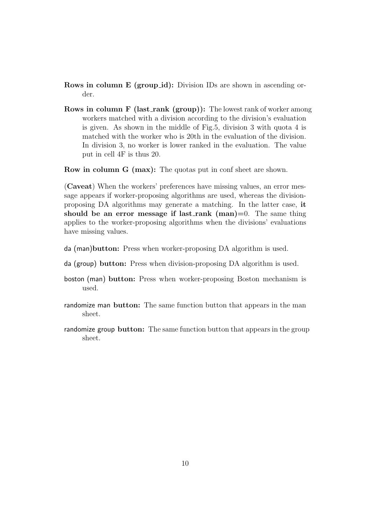**Rows in column E (group\_id):** Division IDs are shown in ascending order.

**Rows in column F (last\_rank (group)):** The lowest rank of worker among workers matched with a division according to the division's evaluation is given. As shown in the middle of Fig.5, division 3 with quota 4 is matched with the worker who is 20th in the evaluation of the division. In division 3, no worker is lower ranked in the evaluation. The value put in cell 4F is thus 20.

**Row in column G (max):** The quotas put in conf sheet are shown.

(**Caveat**) When the workers' preferences have missing values, an error message appears if worker-proposing algorithms are used, whereas the divisionproposing DA algorithms may generate a matching. In the latter case, **it should be an error message if last rank (man)=**0. The same thing applies to the worker-proposing algorithms when the divisions' evaluations have missing values.

- da (man)**button:** Press when worker-proposing DA algorithm is used.
- da (group) **button:** Press when division-proposing DA algorithm is used.
- boston (man) **button:** Press when worker-proposing Boston mechanism is used.
- randomize man **button:** The same function button that appears in the man sheet.
- randomize group **button:** The same function button that appears in the group sheet.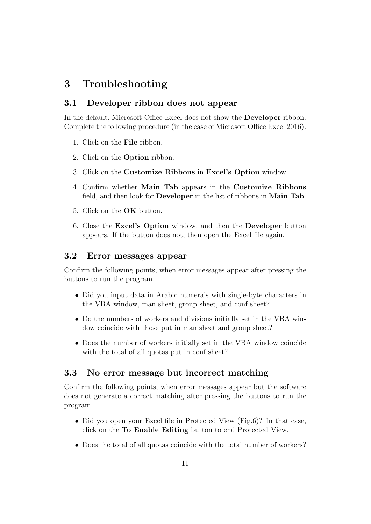# **3 Troubleshooting**

### **3.1 Developer ribbon does not appear**

In the default, Microsoft Office Excel does not show the **Developer** ribbon. Complete the following procedure (in the case of Microsoft Office Excel 2016).

- 1. Click on the **File** ribbon.
- 2. Click on the **Option** ribbon.
- 3. Click on the **Customize Ribbons** in **Excel's Option** window.
- 4. Confirm whether **Main Tab** appears in the **Customize Ribbons** field, and then look for **Developer** in the list of ribbons in **Main Tab**.
- 5. Click on the **OK** button.
- 6. Close the **Excel's Option** window, and then the **Developer** button appears. If the button does not, then open the Excel file again.

# **3.2 Error messages appear**

Confirm the following points, when error messages appear after pressing the buttons to run the program.

- Did you input data in Arabic numerals with single-byte characters in the VBA window, man sheet, group sheet, and conf sheet?
- Do the numbers of workers and divisions initially set in the VBA window coincide with those put in man sheet and group sheet?
- *•* Does the number of workers initially set in the VBA window coincide with the total of all quotas put in conf sheet?

#### **3.3 No error message but incorrect matching**

Confirm the following points, when error messages appear but the software does not generate a correct matching after pressing the buttons to run the program.

- Did you open your Excel file in Protected View (Fig.6)? In that case, click on the **To Enable Editing** button to end Protected View.
- Does the total of all quotas coincide with the total number of workers?